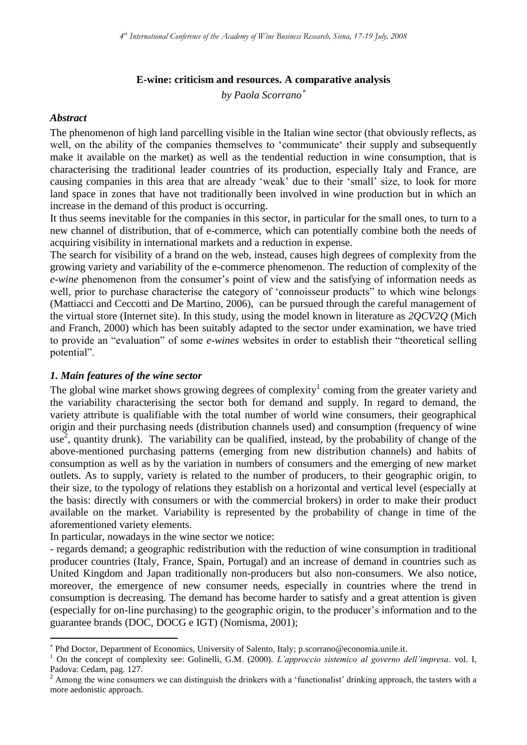### **E-wine: criticism and resources. A comparative analysis**

*by Paola Scorrano*

#### *Abstract*

1

The phenomenon of high land parcelling visible in the Italian wine sector (that obviously reflects, as well, on the ability of the companies themselves to 'communicate' their supply and subsequently make it available on the market) as well as the tendential reduction in wine consumption, that is characterising the traditional leader countries of its production, especially Italy and France, are causing companies in this area that are already "weak" due to their "small" size, to look for more land space in zones that have not traditionally been involved in wine production but in which an increase in the demand of this product is occurring.

It thus seems inevitable for the companies in this sector, in particular for the small ones, to turn to a new channel of distribution, that of e-commerce, which can potentially combine both the needs of acquiring visibility in international markets and a reduction in expense.

The search for visibility of a brand on the web, instead, causes high degrees of complexity from the growing variety and variability of the e-commerce phenomenon. The reduction of complexity of the *e-wine* phenomenon from the consumer's point of view and the satisfying of information needs as well, prior to purchase characterise the category of 'connoisseur products' to which wine belongs (Mattiacci and Ceccotti and De Martino, 2006), can be pursued through the careful management of the virtual store (Internet site). In this study, using the model known in literature as *2QCV2Q* (Mich and Franch, 2000) which has been suitably adapted to the sector under examination, we have tried to provide an "evaluation" of some *e-wines* websites in order to establish their "theoretical selling potential".

#### *1. Main features of the wine sector*

The global wine market shows growing degrees of complexity<sup>1</sup> coming from the greater variety and the variability characterising the sector both for demand and supply. In regard to demand, the variety attribute is qualifiable with the total number of world wine consumers, their geographical origin and their purchasing needs (distribution channels used) and consumption (frequency of wine use<sup>2</sup>, quantity drunk). The variability can be qualified, instead, by the probability of change of the above-mentioned purchasing patterns (emerging from new distribution channels) and habits of consumption as well as by the variation in numbers of consumers and the emerging of new market outlets. As to supply, variety is related to the number of producers, to their geographic origin, to their size, to the typology of relations they establish on a horizontal and vertical level (especially at the basis: directly with consumers or with the commercial brokers) in order to make their product available on the market. Variability is represented by the probability of change in time of the aforementioned variety elements.

In particular, nowadays in the wine sector we notice:

- regards demand; a geographic redistribution with the reduction of wine consumption in traditional producer countries (Italy, France, Spain, Portugal) and an increase of demand in countries such as United Kingdom and Japan traditionally non-producers but also non-consumers. We also notice, moreover, the emergence of new consumer needs, especially in countries where the trend in consumption is decreasing. The demand has become harder to satisfy and a great attention is given (especially for on-line purchasing) to the geographic origin, to the producer"s information and to the guarantee brands (DOC, DOCG e IGT) (Nomisma, 2001);

Phd Doctor, Department of Economics, University of Salento, Italy; [p.scorrano@economia.unile.it.](mailto:p.scorrano@economia.unile.it)

<sup>1</sup> On the concept of complexity see: Golinelli, G.M. (2000). *L'approccio sistemico al governo dell'impresa*. vol. I, Padova: Cedam, pag. 127.

<sup>&</sup>lt;sup>2</sup> Among the wine consumers we can distinguish the drinkers with a 'functionalist' drinking approach, the tasters with a more aedonistic approach.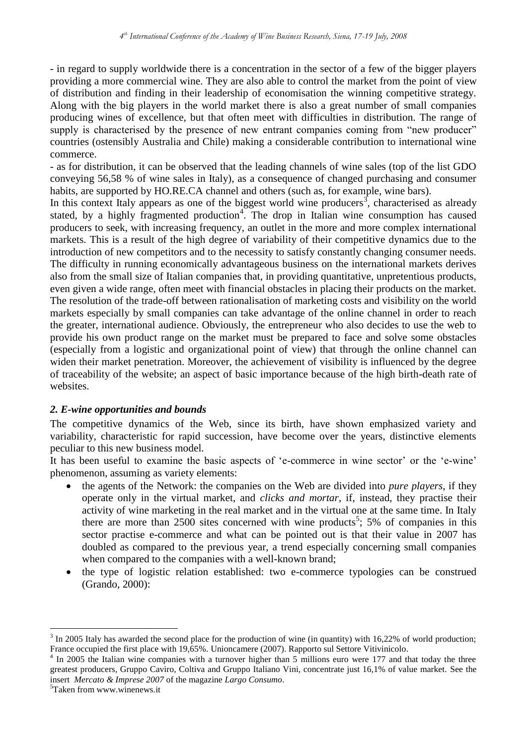- in regard to supply worldwide there is a concentration in the sector of a few of the bigger players providing a more commercial wine. They are also able to control the market from the point of view of distribution and finding in their leadership of economisation the winning competitive strategy. Along with the big players in the world market there is also a great number of small companies producing wines of excellence, but that often meet with difficulties in distribution. The range of supply is characterised by the presence of new entrant companies coming from "new producer" countries (ostensibly Australia and Chile) making a considerable contribution to international wine commerce.

- as for distribution, it can be observed that the leading channels of wine sales (top of the list GDO conveying 56,58 % of wine sales in Italy), as a consequence of changed purchasing and consumer habits, are supported by HO.RE.CA channel and others (such as, for example, wine bars).

In this context Italy appears as one of the biggest world wine producers<sup>3</sup>, characterised as already stated, by a highly fragmented production<sup>4</sup>. The drop in Italian wine consumption has caused producers to seek, with increasing frequency, an outlet in the more and more complex international markets. This is a result of the high degree of variability of their competitive dynamics due to the introduction of new competitors and to the necessity to satisfy constantly changing consumer needs. The difficulty in running economically advantageous business on the international markets derives also from the small size of Italian companies that, in providing quantitative, unpretentious products, even given a wide range, often meet with financial obstacles in placing their products on the market. The resolution of the trade-off between rationalisation of marketing costs and visibility on the world markets especially by small companies can take advantage of the online channel in order to reach the greater, international audience. Obviously, the entrepreneur who also decides to use the web to provide his own product range on the market must be prepared to face and solve some obstacles (especially from a logistic and organizational point of view) that through the online channel can widen their market penetration. Moreover, the achievement of visibility is influenced by the degree of traceability of the website; an aspect of basic importance because of the high birth-death rate of websites.

## *2. E-wine opportunities and bounds*

The competitive dynamics of the Web, since its birth, have shown emphasized variety and variability, characteristic for rapid succession, have become over the years, distinctive elements peculiar to this new business model.

It has been useful to examine the basic aspects of 'e-commerce in wine sector' or the 'e-wine' phenomenon, assuming as variety elements:

- the agents of the Network: the companies on the Web are divided into *pure players*, if they operate only in the virtual market, and *clicks and mortar*, if, instead, they practise their activity of wine marketing in the real market and in the virtual one at the same time. In Italy there are more than  $2500$  sites concerned with wine products<sup>5</sup>; 5% of companies in this sector practise e-commerce and what can be pointed out is that their value in 2007 has doubled as compared to the previous year, a trend especially concerning small companies when compared to the companies with a well-known brand;
- the type of logistic relation established: two e-commerce typologies can be construed (Grando, 2000):

<u>.</u>

 $3 \text{ In } 2005$  Italy has awarded the second place for the production of wine (in quantity) with 16,22% of world production; France occupied the first place with 19,65%. Unioncamere (2007). Rapporto sul Settore Vitivinicolo.

<sup>4</sup> In 2005 the Italian wine companies with a turnover higher than 5 millions euro were 177 and that today the three greatest producers, Gruppo Caviro, Coltiva and Gruppo Italiano Vini, concentrate just 16,1% of value market. See the insert *Mercato & Imprese 2007* of the magazine *Largo Consumo*.

<sup>5</sup>Taken from www.winenews.it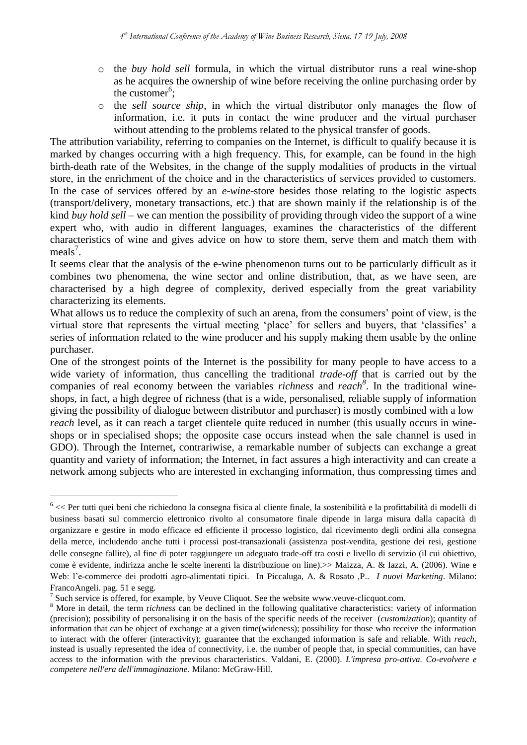- o the *buy hold sell* formula, in which the virtual distributor runs a real wine-shop as he acquires the ownership of wine before receiving the online purchasing order by the customer<sup>6</sup>;
- o the *sell source ship*, in which the virtual distributor only manages the flow of information, i.e. it puts in contact the wine producer and the virtual purchaser without attending to the problems related to the physical transfer of goods.

The attribution variability, referring to companies on the Internet, is difficult to qualify because it is marked by changes occurring with a high frequency. This, for example, can be found in the high birth-death rate of the Websites, in the change of the supply modalities of products in the virtual store, in the enrichment of the choice and in the characteristics of services provided to customers. In the case of services offered by an *e-wine*-store besides those relating to the logistic aspects (transport/delivery, monetary transactions, etc.) that are shown mainly if the relationship is of the kind *buy hold sell* – we can mention the possibility of providing through video the support of a wine expert who, with audio in different languages, examines the characteristics of the different characteristics of wine and gives advice on how to store them, serve them and match them with meals<sup>7</sup>.

It seems clear that the analysis of the e-wine phenomenon turns out to be particularly difficult as it combines two phenomena, the wine sector and online distribution, that, as we have seen, are characterised by a high degree of complexity, derived especially from the great variability characterizing its elements.

What allows us to reduce the complexity of such an arena, from the consumers' point of view, is the virtual store that represents the virtual meeting "place" for sellers and buyers, that "classifies" a series of information related to the wine producer and his supply making them usable by the online purchaser.

One of the strongest points of the Internet is the possibility for many people to have access to a wide variety of information, thus cancelling the traditional *trade-off* that is carried out by the companies of real economy between the variables *richness* and *reach<sup>8</sup>* . In the traditional wineshops, in fact, a high degree of richness (that is a wide, personalised, reliable supply of information giving the possibility of dialogue between distributor and purchaser) is mostly combined with a low *reach* level, as it can reach a target clientele quite reduced in number (this usually occurs in wineshops or in specialised shops; the opposite case occurs instead when the sale channel is used in GDO). Through the Internet, contrariwise, a remarkable number of subjects can exchange a great quantity and variety of information; the Internet, in fact assures a high interactivity and can create a network among subjects who are interested in exchanging information, thus compressing times and

1

 $6 \ll$  Per tutti quei beni che richiedono la consegna fisica al cliente finale, la sostenibilità e la profittabilità di modelli di business basati sul commercio elettronico rivolto al consumatore finale dipende in larga misura dalla capacità di organizzare e gestire in modo efficace ed efficiente il processo logistico, dal ricevimento degli ordini alla consegna della merce, includendo anche tutti i processi post-transazionali (assistenza post-vendita, gestione dei resi, gestione delle consegne fallite), al fine di poter raggiungere un adeguato trade-off tra costi e livello di servizio (il cui obiettivo, come è evidente, indirizza anche le scelte inerenti la distribuzione on line).>> Maizza, A. & Iazzi, A. (2006). Wine e Web: l"e-commerce dei prodotti agro-alimentati tipici. In Piccaluga, A. & Rosato ,P.. *I nuovi Marketing*. Milano: FrancoAngeli. pag. 51 e segg.

 $<sup>7</sup>$  Such service is offered, for example, by Veuve Cliquot. See the website [www.veuve-clicquot.com.](http://www.veuve-clicquot.com/)</sup>

<sup>&</sup>lt;sup>8</sup> More in detail, the term richness can be declined in the following qualitative characteristics: variety of information (precision); possibility of personalising it on the basis of the specific needs of the receiver (*customization*); quantity of information that can be object of exchange at a given time(wideness); possibility for those who receive the information to interact with the offerer (interactivity); guarantee that the exchanged information is safe and reliable. With *reach*, instead is usually represented the idea of connectivity, i.e. the number of people that, in special communities, can have access to the information with the previous characteristics. Valdani, E. (2000). *L'impresa pro-attiva. Co-evolvere e competere nell'era dell'immaginazione*. Milano: McGraw-Hill.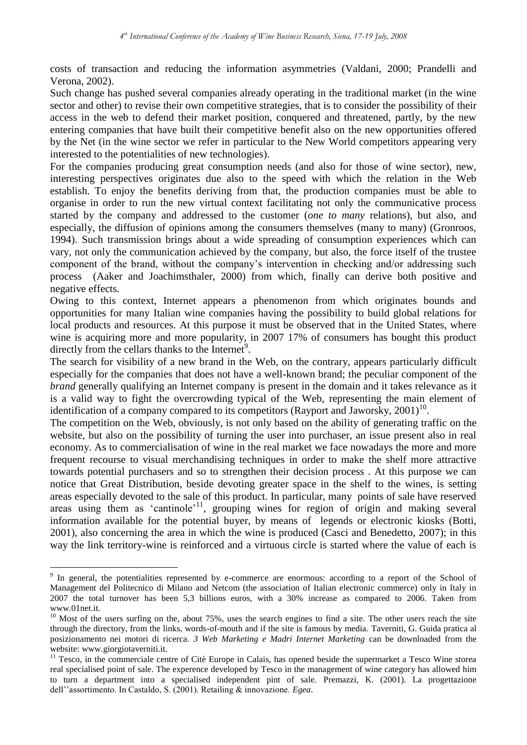costs of transaction and reducing the information asymmetries (Valdani, 2000; Prandelli and Verona, 2002).

Such change has pushed several companies already operating in the traditional market (in the wine sector and other) to revise their own competitive strategies, that is to consider the possibility of their access in the web to defend their market position, conquered and threatened, partly, by the new entering companies that have built their competitive benefit also on the new opportunities offered by the Net (in the wine sector we refer in particular to the New World competitors appearing very interested to the potentialities of new technologies).

For the companies producing great consumption needs (and also for those of wine sector), new, interesting perspectives originates due also to the speed with which the relation in the Web establish. To enjoy the benefits deriving from that, the production companies must be able to organise in order to run the new virtual context facilitating not only the communicative process started by the company and addressed to the customer (*one to many* relations), but also, and especially, the diffusion of opinions among the consumers themselves (many to many) (Gronroos, 1994). Such transmission brings about a wide spreading of consumption experiences which can vary, not only the communication achieved by the company, but also, the force itself of the trustee component of the brand, without the company"s intervention in checking and/or addressing such process (Aaker and Joachimsthaler, 2000) from which, finally can derive both positive and negative effects.

Owing to this context, Internet appears a phenomenon from which originates bounds and opportunities for many Italian wine companies having the possibility to build global relations for local products and resources. At this purpose it must be observed that in the United States, where wine is acquiring more and more popularity, in 2007 17% of consumers has bought this product directly from the cellars thanks to the Internet<sup>9</sup>.

The search for visibility of a new brand in the Web, on the contrary, appears particularly difficult especially for the companies that does not have a well-known brand; the peculiar component of the *brand* generally qualifying an Internet company is present in the domain and it takes relevance as it is a valid way to fight the overcrowding typical of the Web, representing the main element of identification of a company compared to its competitors (Rayport and Jaworsky, 2001)<sup>10</sup>.

The competition on the Web, obviously, is not only based on the ability of generating traffic on the website, but also on the possibility of turning the user into purchaser, an issue present also in real economy. As to commercialisation of wine in the real market we face nowadays the more and more frequent recourse to visual merchandising techniques in order to make the shelf more attractive towards potential purchasers and so to strengthen their decision process . At this purpose we can notice that Great Distribution, beside devoting greater space in the shelf to the wines, is setting areas especially devoted to the sale of this product. In particular, many points of sale have reserved areas using them as 'cantinole'<sup>11</sup>, grouping wines for region of origin and making several information available for the potential buyer, by means of legends or electronic kiosks (Botti, 2001), also concerning the area in which the wine is produced (Casci and Benedetto, 2007); in this way the link territory-wine is reinforced and a virtuous circle is started where the value of each is

1

<sup>&</sup>lt;sup>9</sup> In general, the potentialities represented by e-commerce are enormous: according to a report of the School of Management del Politecnico di Milano and Netcom (the association of Italian electronic commerce) only in Italy in 2007 the total turnover has been 5,3 billions euros, with a 30% increase as compared to 2006. Taken from www.01net.it.

 $10$  Most of the users surfing on the, about 75%, uses the search engines to find a site. The other users reach the site through the directory, from the links, words-of-mouth and if the site is famous by media. Taverniti, G. Guida pratica al posizionamento nei motori di ricerca. *3 Web Marketing e Madri Internet Marketing* can be downloaded from the website: www.giorgiotaverniti.it.

<sup>&</sup>lt;sup>11</sup> Tesco, in the commerciale centre of Citè Europe in Calais, has opened beside the supermarket a Tesco Wine storea real specialised point of sale. The experence developed by Tesco in the management of wine category has allowed him to turn a department into a specialised independent pint of sale. Premazzi, K. (2001). La progettazione dell""assortimento. In Castaldo, S. (2001). Retailing & innovazione. *Egea*.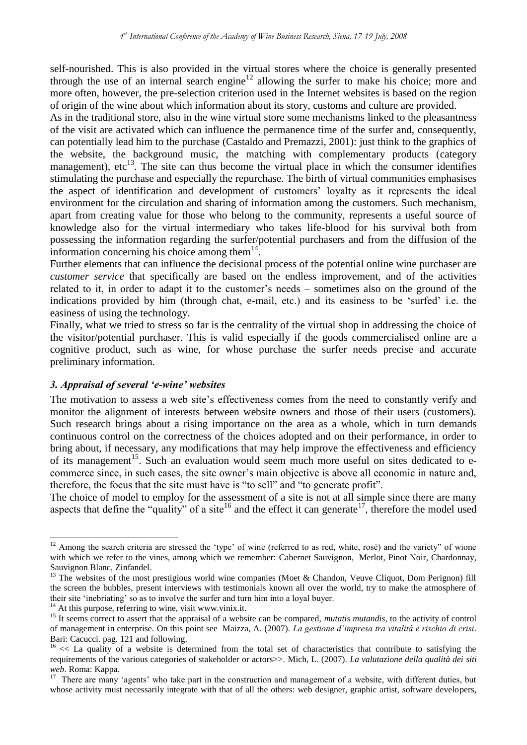self-nourished. This is also provided in the virtual stores where the choice is generally presented through the use of an internal search engine<sup>12</sup> allowing the surfer to make his choice; more and more often, however, the pre-selection criterion used in the Internet websites is based on the region of origin of the wine about which information about its story, customs and culture are provided.

As in the traditional store, also in the wine virtual store some mechanisms linked to the pleasantness of the visit are activated which can influence the permanence time of the surfer and, consequently, can potentially lead him to the purchase (Castaldo and Premazzi, 2001): just think to the graphics of the website, the background music, the matching with complementary products (category management),  $\text{etc}^{13}$ . The site can thus become the virtual place in which the consumer identifies stimulating the purchase and especially the repurchase. The birth of virtual communities emphasises the aspect of identification and development of customers' loyalty as it represents the ideal environment for the circulation and sharing of information among the customers. Such mechanism, apart from creating value for those who belong to the community, represents a useful source of knowledge also for the virtual intermediary who takes life-blood for his survival both from possessing the information regarding the surfer/potential purchasers and from the diffusion of the information concerning his choice among them $14$ .

Further elements that can influence the decisional process of the potential online wine purchaser are *customer service* that specifically are based on the endless improvement, and of the activities related to it, in order to adapt it to the customer"s needs – sometimes also on the ground of the indications provided by him (through chat, e-mail, etc.) and its easiness to be "surfed" i.e. the easiness of using the technology.

Finally, what we tried to stress so far is the centrality of the virtual shop in addressing the choice of the visitor/potential purchaser. This is valid especially if the goods commercialised online are a cognitive product, such as wine, for whose purchase the surfer needs precise and accurate preliminary information.

# *3. Appraisal of several 'e-wine' websites*

The motivation to assess a web site's effectiveness comes from the need to constantly verify and monitor the alignment of interests between website owners and those of their users (customers). Such research brings about a rising importance on the area as a whole, which in turn demands continuous control on the correctness of the choices adopted and on their performance, in order to bring about, if necessary, any modifications that may help improve the effectiveness and efficiency of its management<sup>15</sup>. Such an evaluation would seem much more useful on sites dedicated to ecommerce since, in such cases, the site owner"s main objective is above all economic in nature and, therefore, the focus that the site must have is "to sell" and "to generate profit".

The choice of model to employ for the assessment of a site is not at all simple since there are many aspects that define the "quality" of a site<sup>16</sup> and the effect it can generate<sup>17</sup>, therefore the model used

<u>.</u>

<sup>&</sup>lt;sup>12</sup> Among the search criteria are stressed the 'type' of wine (referred to as red, white, rosé) and the variety" of wione with which we refer to the vines, among which we remember: [Cabernet Sauvignon,](http://www.wineexpress.com/Shopping/prod_directory/Main.asp?cat=WBV&MainCatID=6&catid=7&hasText=False&uid=F5F13637-4907-4179-A135-9F4504F1CB50) [Merlot,](http://www.wineexpress.com/Shopping/prod_directory/Main.asp?cat=WBV&MainCatID=6&catid=8&hasText=False&uid=F5F13637-4907-4179-A135-9F4504F1CB50) [Pinot Noir,](http://www.wineexpress.com/Shopping/prod_directory/Main.asp?cat=WBV&MainCatID=6&catid=9&hasText=False&uid=F5F13637-4907-4179-A135-9F4504F1CB50) [Chardonnay,](http://www.wineexpress.com/Shopping/prod_directory/Main.asp?cat=WBV&MainCatID=6&catid=10&hasText=False&uid=F5F13637-4907-4179-A135-9F4504F1CB50) [Sauvignon Blanc, Zinfandel.](http://www.wineexpress.com/Shopping/prod_directory/Main.asp?cat=WBV&MainCatID=6&catid=12&hasText=False&uid=F5F13637-4907-4179-A135-9F4504F1CB50)

<sup>&</sup>lt;sup>13</sup> The websites of the most prestigious world wine companies (Moet & Chandon, Veuve Cliquot, Dom Perignon) fill the screen the bubbles, present interviews with testimonials known all over the world, try to make the atmosphere of their site "inebriating" so as to involve the surfer and turn him into a loyal buyer.

<sup>&</sup>lt;sup>14</sup> At this purpose, referring to wine, visit www.vinix.it.

<sup>&</sup>lt;sup>15</sup> It seems correct to assert that the appraisal of a website can be compared, *mutatis mutandis*, to the activity of control of management in enterprise. On this point see Maizza, A. (2007). *La gestione d'impresa tra vitalità e rischio di crisi*. Bari: Cacucci. pag. 121 and following.

 $16 \ll L$ a quality of a website is determined from the total set of characteristics that contribute to satisfying the requirements of the various categories of stakeholder or actors>>. Mich, L. (2007). *La valutazione della qualità dei siti web*. Roma: Kappa.

<sup>&</sup>lt;sup>17</sup> There are many 'agents' who take part in the construction and management of a website, with different duties, but whose activity must necessarily integrate with that of all the others: web designer, graphic artist, software developers,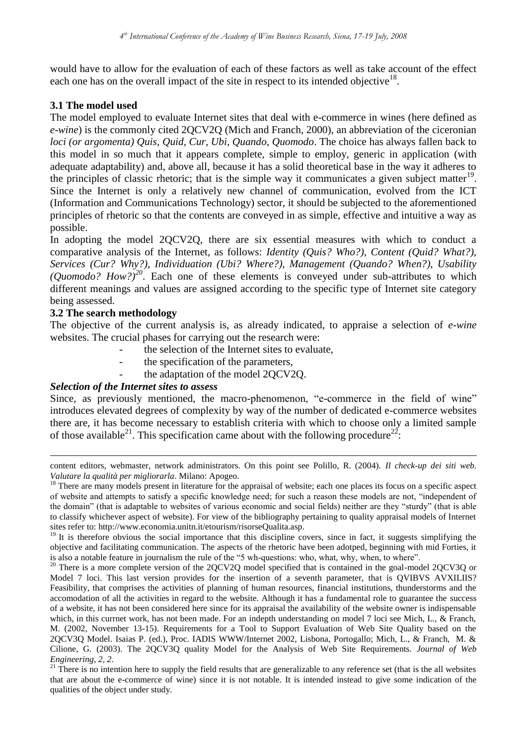would have to allow for the evaluation of each of these factors as well as take account of the effect each one has on the overall impact of the site in respect to its intended objective<sup>18</sup>.

# **3.1 The model used**

The model employed to evaluate Internet sites that deal with e-commerce in wines (here defined as *e-wine*) is the commonly cited 2QCV2Q (Mich and Franch, 2000), an abbreviation of the ciceronian *loci (or argomenta) Quis, Quid, Cur, Ubi, Quando, Quomodo*. The choice has always fallen back to this model in so much that it appears complete, simple to employ, generic in application (with adequate adaptability) and, above all, because it has a solid theoretical base in the way it adheres to the principles of classic rhetoric; that is the simple way it communicates a given subject matter<sup>19</sup>. Since the Internet is only a relatively new channel of communication, evolved from the ICT (Information and Communications Technology) sector, it should be subjected to the aforementioned principles of rhetoric so that the contents are conveyed in as simple, effective and intuitive a way as possible.

In adopting the model 2QCV2Q, there are six essential measures with which to conduct a comparative analysis of the Internet, as follows: *Identity (Quis? Who?), Content (Quid? What?), Services (Cur? Why?), Individuation (Ubi? Where?), Management (Quando? When?), Usability (Quomodo? How?)<sup>20</sup>*. Each one of these elements is conveyed under sub-attributes to which different meanings and values are assigned according to the specific type of Internet site category being assessed.

## **3.2 The search methodology**

1

The objective of the current analysis is, as already indicated, to appraise a selection of *e-wine* websites. The crucial phases for carrying out the research were:

- the selection of the Internet sites to evaluate.
- the specification of the parameters,
- the adaptation of the model 2QCV2Q.

## *Selection of the Internet sites to assess*

Since, as previously mentioned, the macro-phenomenon, "e-commerce in the field of wine" introduces elevated degrees of complexity by way of the number of dedicated e-commerce websites there are, it has become necessary to establish criteria with which to choose only a limited sample of those available<sup>21</sup>. This specification came about with the following procedure<sup>22</sup>:

content editors, webmaster, network administrators. On this point see Polillo, R. (2004). *Il check-up dei siti web. Valutare la qualità per migliorarla*. Milano: Apogeo.

<sup>&</sup>lt;sup>18</sup> There are many models present in literature for the appraisal of website; each one places its focus on a specific aspect of website and attempts to satisfy a specific knowledge need; for such a reason these models are not, "independent of the domain" (that is adaptable to websites of various economic and social fields) neither are they "sturdy" (that is able to classify whichever aspect of website). For view of the bibliography pertaining to quality appraisal models of Internet sites refer to: http://www.economia.unitn.it/etourism/risorseQualita.asp.

 $19$  It is therefore obvious the social importance that this discipline covers, since in fact, it suggests simplifying the objective and facilitating communication. The aspects of the rhetoric have been adotped, beginning with mid Forties, it is also a notable feature in journalism the rule of the "5 wh-questions: who, what, why, when, to where".

 $^{20}$  There is a more complete version of the 2QCV2Q model specified that is contained in the goal-model 2QCV3Q or Model 7 loci. This last version provides for the insertion of a seventh parameter, that is QVIBVS AVXILIIS? Feasibility, that comprises the activities of planning of human resources, financial institutions, thunderstorms and the accomodation of all the activities in regard to the website. Although it has a fundamental role to guarantee the success of a website, it has not been considered here since for its appraisal the availability of the website owner is indispensable which, in this currnet work, has not been made. For an indepth understanding on model 7 loci see Mich, L., & Franch, M. (2002, November 13-15). Requirements for a Tool to Support Evaluation of Web Site Quality based on the 2QCV3Q Model. Isaias P. (ed.), Proc. IADIS WWW/Internet 2002, Lisbona, Portogallo; Mich, L., & Franch, M. & Cilione, G. (2003). The 2QCV3Q quality Model for the Analysis of Web Site Requirements. *Journal of Web Engineering, 2, 2*.

<sup>&</sup>lt;sup>21</sup> There is no intention here to supply the field results that are generalizable to any reference set (that is the all websites that are about the e-commerce of wine) since it is not notable. It is intended instead to give some indication of the qualities of the object under study.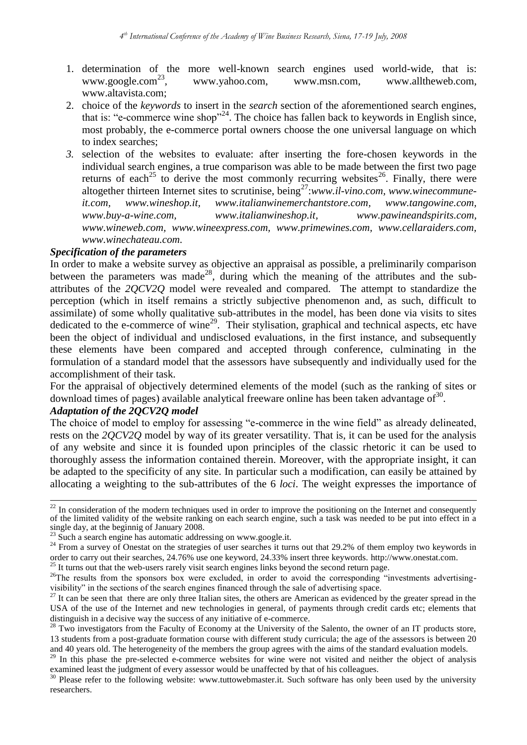- 1. determination of the more well-known search engines used world-wide, that is: www.google.com $^{23}$ . , [www.yahoo.com,](http://www.yahoo.com/) [www.msn.com,](http://www.msn.com/) [www.alltheweb.com,](http://www.alltheweb.com/) [www.altavista.com;](http://www.altavista.com/)
- 2. choice of the *keywords* to insert in the *search* section of the aforementioned search engines, that is: "e-commerce wine shop"<sup>24</sup>. The choice has fallen back to keywords in English since, most probably, the e-commerce portal owners choose the one universal language on which to index searches;
- *3.* selection of the websites to evaluate: after inserting the fore-chosen keywords in the individual search engines, a true comparison was able to be made between the first two page returns of each<sup>25</sup> to derive the most commonly recurring websites<sup>26</sup>. Finally, there were altogether thirteen Internet sites to scrutinise, being<sup>27</sup>:[www.il-vino.com,](http://www.il-vino.com/) [www.winecommune](http://www.winecommune-it.com/)*[it.com,](http://www.winecommune-it.com/) [www.wineshop.it,](http://www.wineshop.it/) [www.italianwinemerchantstore.com,](http://www.italianwinemerchantstore.com/) [www.tangowine.com,](http://www.tangowine.com/) [www.buy-a-wine.com,](http://www.buy-a-wine.com/) [www.italianwineshop.it,](http://www.italianwineshop.it/) [www.pawineandspirits.com,](http://www.pawineandspirits.com/) [www.wineweb.com,](http://www.wineweb.com/) [www.wineexpress.com,](http://www.wineexpress.com/) [www.primewines.com,](http://www.primewines.com/) [www.cellaraiders.com,](http://www.cellaraiders.com/) [www.winechateau.com.](http://www.winechateau.com/)*

## *Specification of the parameters*

In order to make a website survey as objective an appraisal as possible, a preliminarily comparison between the parameters was made<sup>28</sup>, during which the meaning of the attributes and the subattributes of the *2QCV2Q* model were revealed and compared. The attempt to standardize the perception (which in itself remains a strictly subjective phenomenon and, as such, difficult to assimilate) of some wholly qualitative sub-attributes in the model, has been done via visits to sites dedicated to the e-commerce of wine<sup>29</sup>. Their stylisation, graphical and technical aspects, etc have been the object of individual and undisclosed evaluations, in the first instance, and subsequently these elements have been compared and accepted through conference, culminating in the formulation of a standard model that the assessors have subsequently and individually used for the accomplishment of their task.

For the appraisal of objectively determined elements of the model (such as the ranking of sites or download times of pages) available analytical freeware online has been taken advantage of  $30$ .

## *Adaptation of the 2QCV2Q model*

 $\frac{1}{2}$ 

The choice of model to employ for assessing "e-commerce in the wine field" as already delineated, rests on the *2QCV2Q* model by way of its greater versatility. That is, it can be used for the analysis of any website and since it is founded upon principles of the classic rhetoric it can be used to thoroughly assess the information contained therein. Moreover, with the appropriate insight, it can be adapted to the specificity of any site. In particular such a modification, can easily be attained by allocating a weighting to the sub-attributes of the 6 *loci*. The weight expresses the importance of

 $^{25}$  It turns out that the web-users rarely visit search engines links beyond the second return page.

 $22$  In consideration of the modern techniques used in order to improve the positioning on the Internet and consequently of the limited validity of the website ranking on each search engine, such a task was needed to be put into effect in a single day, at the beginnig of January 2008.

 $^{23}$  Such a search engine has automatic addressing on www.google.it.

<sup>&</sup>lt;sup>24</sup> From a survey of Onestat on the strategies of user searches it turns out that 29.2% of them employ two keywords in order to carry out their searches, 24.76% use one keyword, 24.33% insert three keywords. [http://www.onestat.com.](http://www.onestat.com/)

 $^{26}$ The results from the sponsors box were excluded, in order to avoid the corresponding "investments advertisingvisibility" in the sections of the search engines financed through the sale of advertising space.

 $^{27}$  It can be seen that there are only three Italian sites, the others are American as evidenced by the greater spread in the USA of the use of the Internet and new technologies in general, of payments through credit cards etc; elements that distinguish in a decisive way the success of any initiative of e-commerce.

<sup>&</sup>lt;sup>28</sup> Two investigators from the Faculty of Economy at the University of the Salento, the owner of an IT products store, 13 students from a post-graduate formation course with different study curricula; the age of the assessors is between 20 and 40 years old. The heterogeneity of the members the group agrees with the aims of the standard evaluation models.

<sup>&</sup>lt;sup>29</sup> In this phase the pre-selected e-commerce websites for wine were not visited and neither the object of analysis examined least the judgment of every assessor would be unaffected by that of his colleagues.

<sup>&</sup>lt;sup>30</sup> Please refer to the following website: www.tuttowebmaster.it. Such software has only been used by the university researchers.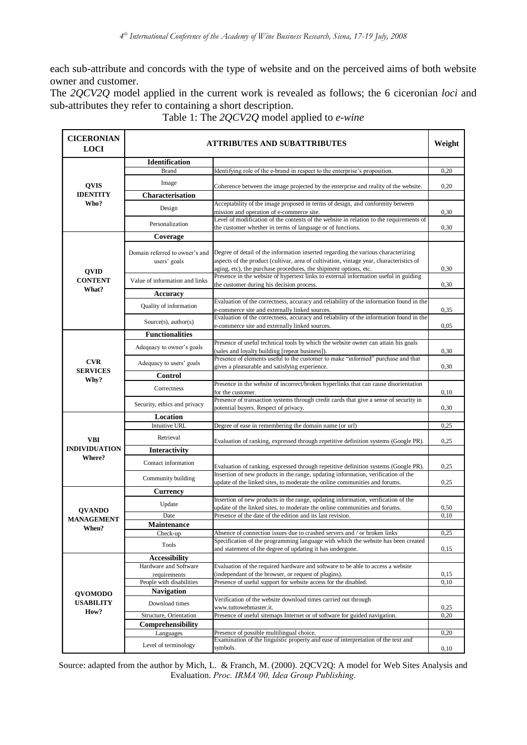each sub-attribute and concords with the type of website and on the perceived aims of both website owner and customer.

The *2QCV2Q* model applied in the current work is revealed as follows; the 6 ciceronian *loci* and sub-attributes they refer to containing a short description.

| <b>CICERONIAN</b><br><b>LOCI</b>             |                                                | <b>ATTRIBUTES AND SUBATTRIBUTES</b>                                                                                                                                                                                                              | Weight |
|----------------------------------------------|------------------------------------------------|--------------------------------------------------------------------------------------------------------------------------------------------------------------------------------------------------------------------------------------------------|--------|
|                                              | <b>Identification</b>                          |                                                                                                                                                                                                                                                  |        |
| <b>QVIS</b>                                  | <b>Brand</b>                                   | Identifying role of the e-brand in respect to the enterprise's proposition.                                                                                                                                                                      | 0,20   |
|                                              | Image                                          | Coherence between the image projected by the enterprise and reality of the website.                                                                                                                                                              | 0,20   |
| <b>IDENTITY</b>                              | <b>Characterisation</b>                        |                                                                                                                                                                                                                                                  |        |
| Who?                                         | Design                                         | Acceptability of the image proposed in terms of design, and conformity between<br>mission and operation of e-commerce site.                                                                                                                      | 0,30   |
|                                              | Personalization                                | Level of modification of the contents of the website in relation to the requirements of<br>the customer whether in terms of language or of functions.                                                                                            | 0,30   |
| <b>QVID</b><br><b>CONTENT</b><br>What?       | Coverage                                       |                                                                                                                                                                                                                                                  |        |
|                                              | Domain referred to owner's and<br>users' goals | Degree of detail of the information inserted regarding the various characterizing<br>aspects of the product (cultivar, area of cultivation, vintage year, characteristics of<br>aging, etc), the purchase procedures, the shipment options, etc. | 0,30   |
|                                              | Value of information and links                 | Presence in the website of hypertext links to external information useful in guiding<br>the customer during his decision process.                                                                                                                | 0,30   |
|                                              | Accuracy                                       |                                                                                                                                                                                                                                                  |        |
|                                              | Quality of information                         | Evaluation of the correctness, accuracy and reliability of the information found in the                                                                                                                                                          |        |
|                                              |                                                | e-commerce site and externally linked sources.                                                                                                                                                                                                   | 0,35   |
|                                              | Source $(s)$ , author $(s)$                    | Evaluation of the correctness, accuracy and reliability of the information found in the<br>e-commerce site and externally linked sources.                                                                                                        | 0,05   |
| <b>CVR</b><br><b>SERVICES</b><br>Why?        | <b>Functionalities</b>                         |                                                                                                                                                                                                                                                  |        |
|                                              |                                                | Presence of useful technical tools by which the website owner can attain his goals                                                                                                                                                               |        |
|                                              | Adequacy to owner's goals                      | (sales and loyalty building [repeat business]).                                                                                                                                                                                                  | 0,30   |
|                                              | Adequacy to users' goals                       | Presence of elements useful to the customer to make "informed" purchase and that<br>gives a pleasurable and satisfying experience.                                                                                                               | 0,30   |
|                                              | Control                                        |                                                                                                                                                                                                                                                  |        |
|                                              | Correctness                                    | Presence in the website of incorrect/broken hyperlinks that can cause disorientation<br>for the customer.                                                                                                                                        | 0,10   |
|                                              | Security, ethics and privacy                   | Presence of transaction systems through credit cards that give a sense of security in<br>potential buyers. Respect of privacy.                                                                                                                   | 0,30   |
| <b>VBI</b><br><b>INDIVIDUATION</b><br>Where? | Location                                       |                                                                                                                                                                                                                                                  |        |
|                                              | <b>Intuitive URL</b>                           | Degree of ease in remembering the domain name (or url)                                                                                                                                                                                           | 0,25   |
|                                              | Retrieval                                      | Evaluation of ranking, expressed through repetitive definition systems (Google PR).                                                                                                                                                              | 0,25   |
|                                              | <b>Interactivity</b>                           |                                                                                                                                                                                                                                                  |        |
|                                              | Contact information                            | Evaluation of ranking, expressed through repetitive definition systems (Google PR).                                                                                                                                                              | 0,25   |
|                                              | Community building                             | Insertion of new products in the range, updating information, verification of the<br>update of the linked sites, to moderate the online communities and forums.                                                                                  | 0,25   |
| <b>QVANDO</b><br><b>MANAGEMENT</b><br>When?  | <b>Currency</b>                                |                                                                                                                                                                                                                                                  |        |
|                                              | Update                                         | Insertion of new products in the range, updating information, verification of the                                                                                                                                                                |        |
|                                              |                                                | update of the linked sites, to moderate the online communities and forums.                                                                                                                                                                       | 0,50   |
|                                              | Date<br>Maintenance                            | Presence of the date of the edition and its last revision.                                                                                                                                                                                       | 0,10   |
|                                              | Check-up                                       | Absence of connection issues due to crashed servers and / or broken links                                                                                                                                                                        | 0,25   |
|                                              | Tools                                          | Specification of the programming language with which the website has been created<br>and statement of the degree of updating it has undergone.                                                                                                   | 0,15   |
| <b>QVOMODO</b><br><b>USABILITY</b><br>How?   | <b>Accessibility</b>                           |                                                                                                                                                                                                                                                  |        |
|                                              | Hardware and Software                          | Evaluation of the required hardware and software to be able to access a website                                                                                                                                                                  |        |
|                                              | requirements                                   | (independant of the browser, or request of plugins).                                                                                                                                                                                             | 0,15   |
|                                              | People with disabilities                       | Presence of useful support for website access for the disabled.                                                                                                                                                                                  | 0,10   |
|                                              | <b>Navigation</b>                              |                                                                                                                                                                                                                                                  |        |
|                                              | Download times                                 | Verification of the website download times carried out through<br>www.tuttowebmaster.it.                                                                                                                                                         | 0,25   |
|                                              | Structure, Orientation                         | Presence of useful sitemaps Internet or of software for guided navigation.                                                                                                                                                                       | 0,20   |
|                                              | Comprehensibility                              |                                                                                                                                                                                                                                                  |        |
|                                              | Languages                                      | Presence of possible multilingual choice.<br>Examination of the linguistic property and ease of interpretation of the text and                                                                                                                   | 0,20   |
|                                              | Level of terminology                           | symbols.                                                                                                                                                                                                                                         | 0,10   |

Table 1: The *2QCV2Q* model applied to *e-wine*

Source: adapted from the author by Mich, L. & Franch, M. (2000). 2QCV2Q: A model for Web Sites Analysis and Evaluation. *Proc. IRMA'00, Idea Group Publishing.*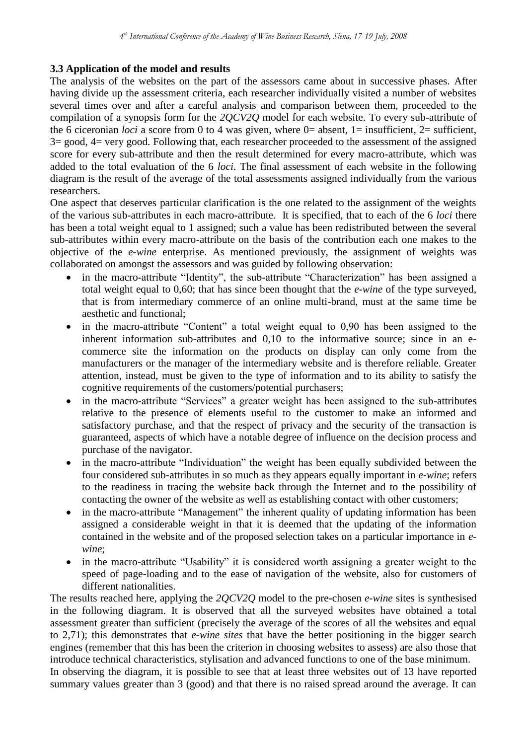# **3.3 Application of the model and results**

The analysis of the websites on the part of the assessors came about in successive phases. After having divide up the assessment criteria, each researcher individually visited a number of websites several times over and after a careful analysis and comparison between them, proceeded to the compilation of a synopsis form for the *2QCV2Q* model for each website. To every sub-attribute of the 6 ciceronian *loci* a score from 0 to 4 was given, where 0= absent, 1= insufficient, 2= sufficient, 3= good, 4= very good. Following that, each researcher proceeded to the assessment of the assigned score for every sub-attribute and then the result determined for every macro-attribute, which was added to the total evaluation of the 6 *loci*. The final assessment of each website in the following diagram is the result of the average of the total assessments assigned individually from the various researchers.

One aspect that deserves particular clarification is the one related to the assignment of the weights of the various sub-attributes in each macro-attribute. It is specified, that to each of the 6 *loci* there has been a total weight equal to 1 assigned; such a value has been redistributed between the several sub-attributes within every macro-attribute on the basis of the contribution each one makes to the objective of the *e-wine* enterprise. As mentioned previously, the assignment of weights was collaborated on amongst the assessors and was guided by following observation:

- in the macro-attribute "Identity", the sub-attribute "Characterization" has been assigned a total weight equal to 0,60; that has since been thought that the *e-wine* of the type surveyed, that is from intermediary commerce of an online multi-brand, must at the same time be aesthetic and functional;
- in the macro-attribute "Content" a total weight equal to 0,90 has been assigned to the inherent information sub-attributes and 0,10 to the informative source; since in an ecommerce site the information on the products on display can only come from the manufacturers or the manager of the intermediary website and is therefore reliable. Greater attention, instead, must be given to the type of information and to its ability to satisfy the cognitive requirements of the customers/potential purchasers;
- in the macro-attribute "Services" a greater weight has been assigned to the sub-attributes relative to the presence of elements useful to the customer to make an informed and satisfactory purchase, and that the respect of privacy and the security of the transaction is guaranteed, aspects of which have a notable degree of influence on the decision process and purchase of the navigator.
- in the macro-attribute "Individuation" the weight has been equally subdivided between the four considered sub-attributes in so much as they appears equally important in *e-wine*; refers to the readiness in tracing the website back through the Internet and to the possibility of contacting the owner of the website as well as establishing contact with other customers;
- in the macro-attribute "Management" the inherent quality of updating information has been assigned a considerable weight in that it is deemed that the updating of the information contained in the website and of the proposed selection takes on a particular importance in *ewine*;
- in the macro-attribute "Usability" it is considered worth assigning a greater weight to the speed of page-loading and to the ease of navigation of the website, also for customers of different nationalities.

The results reached here, applying the *2QCV2Q* model to the pre-chosen *e-wine* sites is synthesised in the following diagram. It is observed that all the surveyed websites have obtained a total assessment greater than sufficient (precisely the average of the scores of all the websites and equal to 2,71); this demonstrates that *e-wine sites* that have the better positioning in the bigger search engines (remember that this has been the criterion in choosing websites to assess) are also those that introduce technical characteristics, stylisation and advanced functions to one of the base minimum.

In observing the diagram, it is possible to see that at least three websites out of 13 have reported summary values greater than 3 (good) and that there is no raised spread around the average. It can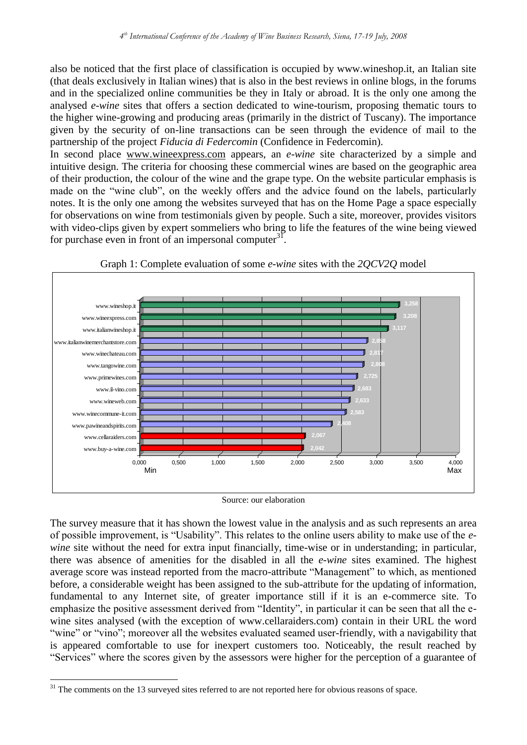also be noticed that the first place of classification is occupied by www.wineshop.it, an Italian site (that deals exclusively in Italian wines) that is also in the best reviews in online blogs, in the forums and in the specialized online communities be they in Italy or abroad. It is the only one among the analysed *e-wine* sites that offers a section dedicated to wine-tourism, proposing thematic tours to the higher wine-growing and producing areas (primarily in the district of Tuscany). The importance given by the security of on-line transactions can be seen through the evidence of mail to the partnership of the project *Fiducia di Federcomin* (Confidence in Federcomin).

In second place [www.wineexpress.com](http://www.wineexpress.com/) appears, an *e-wine* site characterized by a simple and intuitive design. The criteria for choosing these commercial wines are based on the geographic area of their production, the colour of the wine and the grape type. On the website particular emphasis is made on the "wine club", on the weekly offers and the advice found on the labels, particularly notes. It is the only one among the websites surveyed that has on the Home Page a space especially for observations on wine from testimonials given by people. Such a site, moreover, provides visitors with video-clips given by expert sommeliers who bring to life the features of the wine being viewed for purchase even in front of an impersonal computer $^{31}$ .





Source: our elaboration

The survey measure that it has shown the lowest value in the analysis and as such represents an area of possible improvement, is "Usability". This relates to the online users ability to make use of the *ewine* site without the need for extra input financially, time-wise or in understanding; in particular, there was absence of amenities for the disabled in all the *e-wine* sites examined. The highest average score was instead reported from the macro-attribute "Management" to which, as mentioned before, a considerable weight has been assigned to the sub-attribute for the updating of information, fundamental to any Internet site, of greater importance still if it is an e-commerce site. To emphasize the positive assessment derived from "Identity", in particular it can be seen that all the ewine sites analysed (with the exception of www.cellaraiders.com) contain in their URL the word "wine" or "vino"; moreover all the websites evaluated seamed user-friendly, with a navigability that is appeared comfortable to use for inexpert customers too. Noticeably, the result reached by "Services" where the scores given by the assessors were higher for the perception of a guarantee of

1

<sup>&</sup>lt;sup>31</sup> The comments on the 13 surveyed sites referred to are not reported here for obvious reasons of space.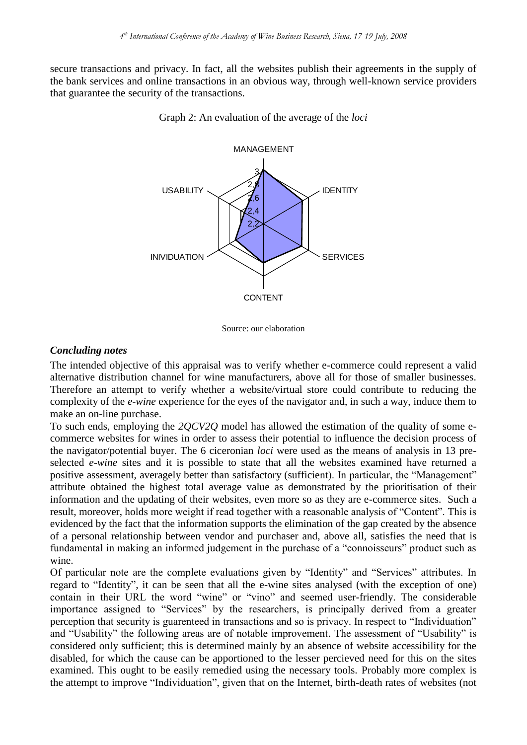secure transactions and privacy. In fact, all the websites publish their agreements in the supply of the bank services and online transactions in an obvious way, through well-known service providers that guarantee the security of the transactions.



Graph 2: An evaluation of the average of the *loci*

Source: our elaboration

#### *Concluding notes*

The intended objective of this appraisal was to verify whether e-commerce could represent a valid alternative distribution channel for wine manufacturers, above all for those of smaller businesses. Therefore an attempt to verify whether a website/virtual store could contribute to reducing the complexity of the *e-wine* experience for the eyes of the navigator and, in such a way, induce them to make an on-line purchase.

To such ends, employing the *2QCV2Q* model has allowed the estimation of the quality of some ecommerce websites for wines in order to assess their potential to influence the decision process of the navigator/potential buyer. The 6 ciceronian *loci* were used as the means of analysis in 13 preselected *e-wine* sites and it is possible to state that all the websites examined have returned a positive assessment, averagely better than satisfactory (sufficient). In particular, the "Management" attribute obtained the highest total average value as demonstrated by the prioritisation of their information and the updating of their websites, even more so as they are e-commerce sites. Such a result, moreover, holds more weight if read together with a reasonable analysis of "Content". This is evidenced by the fact that the information supports the elimination of the gap created by the absence of a personal relationship between vendor and purchaser and, above all, satisfies the need that is fundamental in making an informed judgement in the purchase of a "connoisseurs" product such as wine.

Of particular note are the complete evaluations given by "Identity" and "Services" attributes. In regard to "Identity", it can be seen that all the e-wine sites analysed (with the exception of one) contain in their URL the word "wine" or "vino" and seemed user-friendly. The considerable importance assigned to "Services" by the researchers, is principally derived from a greater perception that security is guarenteed in transactions and so is privacy. In respect to "Individuation" and "Usability" the following areas are of notable improvement. The assessment of "Usability" is considered only sufficient; this is determined mainly by an absence of website accessibility for the disabled, for which the cause can be apportioned to the lesser percieved need for this on the sites examined. This ought to be easily remedied using the necessary tools. Probably more complex is the attempt to improve "Individuation", given that on the Internet, birth-death rates of websites (not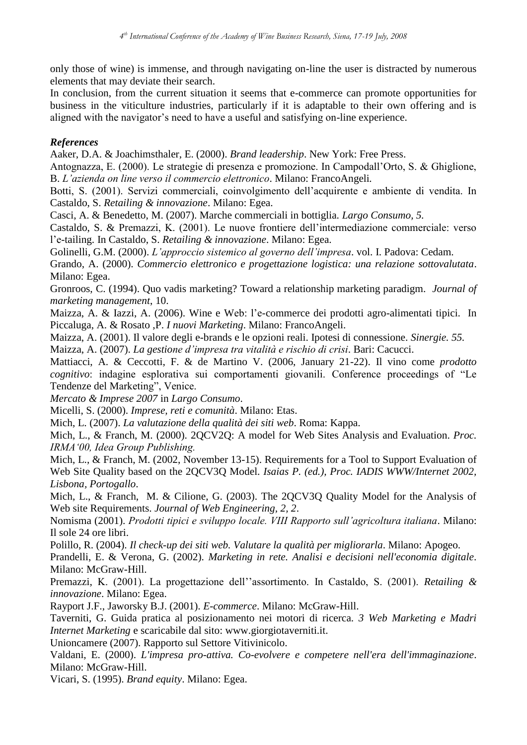only those of wine) is immense, and through navigating on-line the user is distracted by numerous elements that may deviate their search.

In conclusion, from the current situation it seems that e-commerce can promote opportunities for business in the viticulture industries, particularly if it is adaptable to their own offering and is aligned with the navigator"s need to have a useful and satisfying on-line experience.

# *References*

Aaker, D.A. & Joachimsthaler, E. (2000). *Brand leadership*. New York: Free Press.

Antognazza, E. (2000). Le strategie di presenza e promozione. In Campodall"Orto, S. & Ghiglione, B. *L'azienda on line verso il commercio elettronico*. Milano: FrancoAngeli*.*

Botti, S. (2001). Servizi commerciali, coinvolgimento dell"acquirente e ambiente di vendita. In Castaldo, S. *Retailing & innovazione*. Milano: Egea.

Casci, A. & Benedetto, M. (2007). Marche commerciali in bottiglia. *Largo Consumo, 5.*

Castaldo, S. & Premazzi, K. (2001). Le nuove frontiere dell"intermediazione commerciale: verso l"e-tailing. In Castaldo, S. *Retailing & innovazione*. Milano: Egea.

Golinelli, G.M. (2000). *L'approccio sistemico al governo dell'impresa*. vol. I. Padova: Cedam.

Grando, A. (2000). *Commercio elettronico e progettazione logistica: una relazione sottovalutata*. Milano: Egea.

Gronroos, C. (1994). Quo vadis marketing? Toward a relationship marketing paradigm. *Journal of marketing management*, 10.

Maizza, A. & Iazzi, A. (2006). Wine e Web: l"e-commerce dei prodotti agro-alimentati tipici. In Piccaluga, A. & Rosato ,P. *I nuovi Marketing*. Milano: FrancoAngeli.

Maizza, A. (2001). Il valore degli e-brands e le opzioni reali. Ipotesi di connessione. *Sinergie. 55.*

Maizza, A. (2007). *La gestione d'impresa tra vitalità e rischio di crisi*. Bari: Cacucci.

Mattiacci, A. & Ceccotti, F. & de Martino V. (2006, January 21-22). Il vino come *prodotto cognitivo*: indagine esplorativa sui comportamenti giovanili. Conference proceedings of "Le Tendenze del Marketing", Venice.

*Mercato & Imprese 2007* in *Largo Consumo*.

Micelli, S. (2000). *Imprese, reti e comunità*. Milano: Etas.

Mich, L. (2007). *La valutazione della qualità dei siti web*. Roma: Kappa.

Mich, L., & Franch, M. (2000). 2QCV2Q: A model for Web Sites Analysis and Evaluation. *Proc. IRMA'00, Idea Group Publishing.*

Mich, L., & Franch, M. (2002, November 13-15). Requirements for a Tool to Support Evaluation of Web Site Quality based on the 2QCV3Q Model. *Isaias P. (ed.), Proc. IADIS WWW/Internet 2002, Lisbona, Portogallo*.

Mich, L., & Franch, M. & Cilione, G. (2003). The 2QCV3Q Quality Model for the Analysis of Web site Requirements. *Journal of Web Engineering, 2, 2*.

Nomisma (2001). *Prodotti tipici e sviluppo locale. VIII Rapporto sull'agricoltura italiana*. Milano: Il sole 24 ore libri.

Polillo, R. (2004). *Il check-up dei siti web. Valutare la qualità per migliorarla*. Milano: Apogeo.

Prandelli, E. & Verona, G. (2002). *Marketing in rete. Analisi e decisioni nell'economia digitale*. Milano: McGraw-Hill.

Premazzi, K. (2001). La progettazione dell""assortimento. In Castaldo, S. (2001). *Retailing & innovazione*. Milano: Egea.

Rayport J.F., Jaworsky B.J. (2001). *E-commerce*. Milano: McGraw-Hill.

Taverniti, G. Guida pratica al posizionamento nei motori di ricerca. *3 Web Marketing e Madri Internet Marketing* e scaricabile dal sito: www.giorgiotaverniti.it.

Unioncamere (2007). Rapporto sul Settore Vitivinicolo.

Valdani, E. (2000). *L'impresa pro-attiva. Co-evolvere e competere nell'era dell'immaginazione*. Milano: McGraw-Hill.

Vicari, S. (1995). *Brand equity*. Milano: Egea.